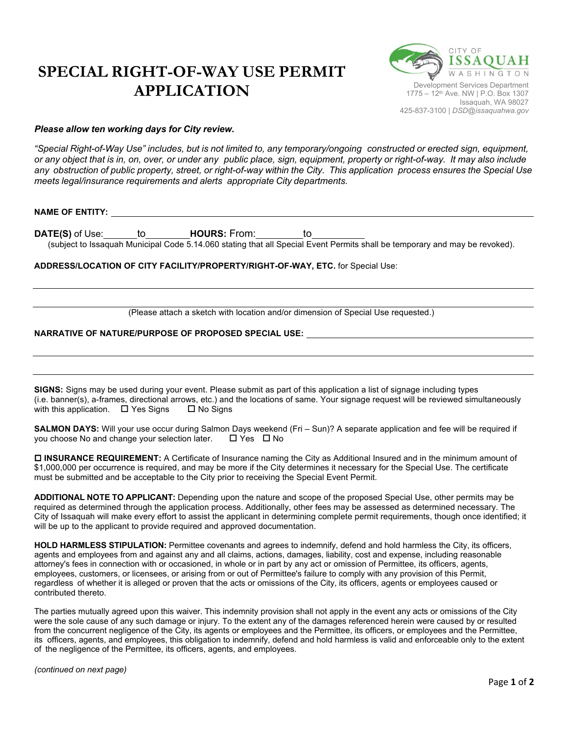## **SPECIAL RIGHT-OF-WAY USE PERMIT APPLICATION**



## *Please allow ten working days for City review.*

"Special Right-of-Way Use" includes, but is not limited to, any temporary/ongoing constructed or erected sign, equipment, or any object that is in, on, over, or under any public place, sign, equipment, property or right-of-way. It may also include any obstruction of public property, street, or right-of-way within the City. This application process ensures the Special Use *meets legal/insurance requirements and alerts appropriate City departments.*

## **NAME OF ENTITY:**

**DATE(S)** of Use: to **HOURS:** From: to (subject to Issaquah Municipal Code 5.14.060 stating that all Special Event Permits shall be temporary and may be revoked).

**ADDRESS/LOCATION OF CITY FACILITY/PROPERTY/RIGHT-OF-WAY, ETC.** for Special Use:

(Please attach a sketch with location and/or dimension of Special Use requested.)

## **NARRATIVE OF NATURE/PURPOSE OF PROPOSED SPECIAL USE:**

**SIGNS:** Signs may be used during your event. Please submit as part of this application a list of signage including types (i.e. banner(s), a-frames, directional arrows, etc.) and the locations of same. Your signage request will be reviewed simultaneously with this application.  $\Box$  Yes Signs  $\Box$  No Signs

**SALMON DAYS:** Will your use occur during Salmon Days weekend (Fri – Sun)? A separate application and fee will be required if you choose No and change your selection later.  $\Box$  Yes  $\Box$  No

 **INSURANCE REQUIREMENT:** A Certificate of Insurance naming the City as Additional Insured and in the minimum amount of \$1,000,000 per occurrence is required, and may be more if the City determines it necessary for the Special Use. The certificate must be submitted and be acceptable to the City prior to receiving the Special Event Permit.

**ADDITIONAL NOTE TO APPLICANT:** Depending upon the nature and scope of the proposed Special Use, other permits may be required as determined through the application process. Additionally, other fees may be assessed as determined necessary. The City of Issaquah will make every effort to assist the applicant in determining complete permit requirements, though once identified; it will be up to the applicant to provide required and approved documentation.

**HOLD HARMLESS STIPULATION:** Permittee covenants and agrees to indemnify, defend and hold harmless the City, its officers, agents and employees from and against any and all claims, actions, damages, liability, cost and expense, including reasonable attorney's fees in connection with or occasioned, in whole or in part by any act or omission of Permittee, its officers, agents, employees, customers, or licensees, or arising from or out of Permittee's failure to comply with any provision of this Permit, regardless of whether it is alleged or proven that the acts or omissions of the City, its officers, agents or employees caused or contributed thereto.

The parties mutually agreed upon this waiver. This indemnity provision shall not apply in the event any acts or omissions of the City were the sole cause of any such damage or injury. To the extent any of the damages referenced herein were caused by or resulted from the concurrent negligence of the City, its agents or employees and the Permittee, its officers, or employees and the Permittee, its officers, agents, and employees, this obligation to indemnify, defend and hold harmless is valid and enforceable only to the extent of the negligence of the Permittee, its officers, agents, and employees.